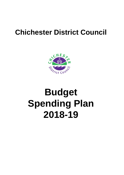## **Chichester District Council**



# **Budget 2018-19 Spending Plan**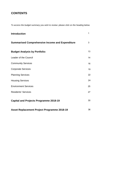## **CONTENTS**

*To access the budget summary you wish to review: please click on the heading below.*

| <b>Introduction</b>                                    | $\mathbf{1}$ |
|--------------------------------------------------------|--------------|
| <b>Summarised Comprehensive Income and Expenditure</b> | 3            |
| <b>Budget Analysis by Portfolio:</b>                   | 13           |
| Leader of the Council                                  | 14           |
| <b>Community Services</b>                              | 16           |
| <b>Corporate Services</b>                              | 19           |
| <b>Planning Services</b>                               | 22           |
| <b>Housing Services</b>                                | 24           |
| <b>Environment Services</b>                            | 25           |
| <b>Residents' Services</b>                             | 27           |
| <b>Capital and Projects Programme 2018-19</b>          | 30           |
| <b>Asset Replacement Project Programme 2018-19</b>     | 36           |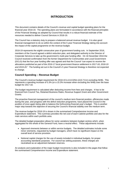## **INTRODUCTION**

This document contains details of the Council's revenue and capital budget spending plans for the financial year 2018-19. The spending plans are formulated in accordance with the financial principles of the Financial Strategy as adopted by Council that results in a robust financial estimate of the resources needed to deliver Council Services in 2018-19.

The Council has a statutory duty to prepare a balanced annual revenue budget. It is also good financial management to do so within the context of the 5 year Financial Strategy taking into account the impact of the capital programme on the revenue budget.

2018-19 represents the eighth consecutive year of government funding cuts. In September 2016, members of the Council agreed a deficit reduction plan, and delegated authority to the Director of Corporate Services to take up the government's multi-year funding offer. On 16 November 2016 the Council received confirmation from the former Department for Communities and Local Government (DCLG) that the four year funding offer was agreed and that the Council *"can expect to receive the allocations published as part of the 2016-17 local government finance settlement in 2017-18, 2018-19 and 2019-20."* The funding set out in the Council's 5 year Financial Strategy is therefore not expected to change.

#### **Council Spending – Revenue Budget**

The Council's revenue budget requirement for 2018-19 is £13.025m (£10.711m excluding NHB). This represents a spending increase of 5.3% (or a 15.3% increase when excluding the NHB) over the base budget for 2017-18.

The budget requirement is calculated after deducting income from fees and charges. It has to be financed from Council Tax, Retained Business Rates, Revenue Support Grant and other Government Grants.

The proactive financial management of the council's medium term financial position, efficiencies made during the year, and progress with the deficit reduction programme, have placed the Council in the position of once again being able to balance the forthcoming financial year's budget. This is another major step towards the objective of securing the Council's financial stability over the medium term.

The revenue budget for 2018-19 is shown in the summarised Comprehensive Income and Expenditure statement. This summary provides the net cost of each Cabinet portfolio and also for the main services within each portfolio area.

The detailed budget preparation allows for some variations between budget centres which, when aggregated for the whole of the General Fund, have a neutral effect. These adjustments include:

- Approved virements between or within service budgets. The detailed estimates include some minor virements, requested by budget managers, which have no significant impact on the overall level of service provision.
- Notional capital charges for the use of assets included in individual budgets, for proper accounting standards purposes. For council tax setting purposes, these charges are neutralised as an adjustment between reserves.

An analysis and explanation of the major budget movements is also included in the pages that follow the summarised Comprehensive Income and Expenditure statement.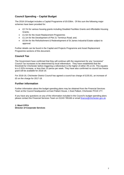#### **Council Spending – Capital Budget**

The 2018-19 budget includes a Capital Programme of £9.036m. Of this sum the following major schemes have been provided for:

- £2.7m for various housing grants including Disabled Facilities Grants and Affordable Housing Grants;
- £1.5m for the Asset Replacement Programme;
- £1.1m for the Development of Plot 21 Terminus Road; and,
- £0.9m for the Refurbishment & Redevelopment of St James Industrial Estate subject to approval

Further details can be found in the Capital and Projects Programme and Asset Replacement Programme sections of this document.

#### **Council Tax**

The Government have confirmed that they will continue with the requirement for any "excessive" Council Tax increases to be determined by local referendum. They have established that the threshold for Chichester before triggering a referendum is the higher of either 3% or £5. This equates to a 3.32% increase, or less than 10 pence per week. They have also confirmed no council tax freeze grant will be available for 2018-19.

For 2018-19, Chichester District Council has agreed a council tax charge of £155.81, an increase of £5 on the charge for 2017-18.

#### **Further information**

Further information about the budget spending plans may be obtained from the Financial Services Team at the Council headquarters at East Pallant House, 1 East Pallant, Chichester PO19 1TY.

If you have any questions on any of the information included in the Council's budget spending plans please contact the Financial Services Team on 01243 785166 or email [finance@chichester.gov.uk.](mailto:finance@chichester.gov.uk)

**J. Ward CPFA Director of Corporate Services**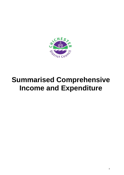<span id="page-4-0"></span>

## **Summarised Comprehensive Income and Expenditure**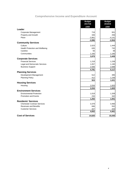## **Comprehensive Income and Expenditure Account**

|                                                                     | <b>Budget</b><br>2017/18 | <b>Budget</b><br>2018/19 |
|---------------------------------------------------------------------|--------------------------|--------------------------|
|                                                                     | £000                     | £000                     |
| Leader                                                              |                          |                          |
| Corporate Management                                                | 719                      | 931                      |
| Property and Growth                                                 | 346                      | 256                      |
| Place                                                               | $-3,961$                 | $-4,141$                 |
|                                                                     | $-2,896$                 | $-2,954$                 |
| <b>Community Services</b>                                           |                          |                          |
| Culture                                                             | 2,023                    | 1,444                    |
| Health Protection and Wellbeing                                     | 635                      | 732                      |
| Careline                                                            | 56                       | 48                       |
| Communities                                                         | 1,165                    | 1,185                    |
|                                                                     | 3,879                    | 3,409                    |
| <b>Corporate Services</b>                                           |                          |                          |
| <b>Financial Services</b>                                           | 1,218                    | 1,239                    |
| Legal and Democratic Services                                       | 1,057                    | 1,190                    |
| <b>Business Support</b>                                             | 2,506                    | 2,688                    |
|                                                                     | 4,781                    | 5,117                    |
| <b>Planning Services</b>                                            |                          |                          |
| Development Management                                              | 512                      | 395                      |
| <b>Planning Policy</b>                                              | 412                      | 1,236                    |
|                                                                     | 924                      | 1,631                    |
| <b>Housing Services</b>                                             |                          |                          |
| Housing                                                             | 2,034                    | 1,820                    |
|                                                                     | 2,034                    | 1,820                    |
| <b>Environment Services</b>                                         |                          |                          |
| <b>Environmental Protection</b>                                     | 1,019                    | 1,209                    |
| <b>Promotion and Events</b>                                         | 234                      | 342                      |
|                                                                     | 1,252                    | 1,551                    |
| <b>Residents' Services</b>                                          |                          |                          |
| <b>Chichester Contract Services</b><br><b>Revenues and Benefits</b> | 3,379<br>846             | 3,466<br>552             |
| <b>Customer Services</b>                                            | 427                      | 443                      |
|                                                                     | 4,652                    | 4,461                    |
|                                                                     |                          |                          |
| <b>Cost of Services</b>                                             | 14,625                   | 15,035                   |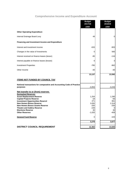## **Comprehensive Income and Expenditure Account**

|                                                                           | <b>Budget</b><br>2017/18 | <b>Budget</b><br>2018/19 |
|---------------------------------------------------------------------------|--------------------------|--------------------------|
|                                                                           | £000                     | £000                     |
| <b>Other Operating Expenditure</b>                                        |                          |                          |
| Internal Drainage Board Levy                                              | 49                       | 0                        |
| Financing and Investment Income and Expenditure                           |                          |                          |
| Interest and investment income                                            | -633                     | $-903$                   |
| Changes in the value of Investments                                       | 0                        | 565                      |
| Interest received on finance leases (lessor)                              | -95                      | $-116$                   |
| Interest payable on finance leases (lessee)                               | 6                        | 3                        |
| <b>Investment Properties</b>                                              | $-785$                   | $-962$                   |
| Other Income                                                              | $-30$                    | $-30$                    |
|                                                                           | 13,137                   | 13,592                   |
| <b>ITEMS NOT FUNDED BY COUNCIL TAX</b>                                    |                          |                          |
| Notional transactions for comparative and Accounting Code of Practice     |                          |                          |
| purposes                                                                  | $-4,053$                 | $-4,244$                 |
| Net transfer to or (from) reserves<br><b>Earmarked Reserves</b>           |                          |                          |
| <b>Asset Replacement Reserve</b>                                          | 1,254                    | 1,290                    |
| <b>Capital Projects Reserve</b>                                           | $-18$                    | $-56$                    |
| <b>Investment Opportunities Reserve</b><br><b>New Homes Bonus Reserve</b> | 471<br>3,050             | 861<br>2,314             |
| <b>New Homes Bonus Grants Reserve</b>                                     | $-250$                   | $-250$                   |
| <b>Theatre and Gallery Reserve</b>                                        | $-239$                   | 0                        |
| <b>Elections Reserve</b>                                                  | 30                       | 30                       |
| <b>Other Reserves</b>                                                     | $-1,020$                 | $-409$                   |
| <b>General Fund Reserve</b>                                               | 0                        | $-103$                   |
|                                                                           | 3,278                    | 3,677                    |
| <b>DISTRICT COUNCIL REQUIREMENT</b>                                       | 12,363                   | 13,025                   |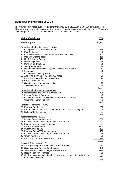#### **Budget Spending Plans 2018-19**

The Council's estimated budget requirement for 2018-19 is £13.025m (£10.711m excluding NHB). This represents a spending increase of 5.3% (or a 15.3% increase when excluding the NHB) over the base budget for 2017-18. The movement can be analysed as follows:

| <b>Major Variations</b>                                                                           | £000     |
|---------------------------------------------------------------------------------------------------|----------|
| Base Budget 2017-18                                                                               | 12,363   |
| <b>Expenditure budget increases (+14.5%)</b><br>Change in the value of investments<br>1.          | 565      |
| 2.<br>Pay Settlement                                                                              | 355      |
| 3.<br><b>Chichester Festival Theatre and Pallant House Gallery</b>                                | 162      |
| 4.<br><b>Planning Staffing posts</b>                                                              | 116      |
| 5.<br>Net Inflation on Prices                                                                     | 103      |
| <b>NNDR</b> payments<br>6.<br>7.<br><b>Pension Contributions</b>                                  | 99<br>86 |
| 8.<br><b>Salary increments</b>                                                                    | 79       |
| 9. Revenues and Benefits IT system licensing and support                                          | 42       |
| 10. Insurance                                                                                     | 42       |
| 11. CCS review of staff grading                                                                   | 40       |
| 12. Additional cleaning of A27 and A/B roads                                                      | 30       |
| 13. Recycling advertising and promotions                                                          | 26       |
| 14. Clinical waste contract                                                                       | 20       |
| 15. Street cleansing increase in fly-tips                                                         | 15       |
| 16. Telecommunications                                                                            | 14       |
| Expenditure budget decreases (-1.8%)                                                              | 1,794    |
| 17. Rent Rebates and Rent Allowances (net)                                                        | $-128$   |
| 18. Internal Drainage Board Levy                                                                  | -49      |
| 19. Council Tax Reduction Scheme Grant to Parish Councils                                         | $-39$    |
| Other minor variations (net)                                                                      | -9       |
|                                                                                                   | $-225$   |
| Decreases in income (+3.1%)                                                                       |          |
| 20. Planning Fee Income                                                                           | 250      |
| 21. Loss of income from Arun DC shared Estates service arrangement                                | 79       |
| 22. Building Control Income                                                                       | 57       |
|                                                                                                   | 386      |
| Additional income (-12.9%)<br>23. Leisure Centre Management                                       | $-360$   |
| 24. Car Parks Fees and Charges - inflation increase                                               | $-273$   |
| 25. Estates rental and licence income                                                             | $-244$   |
| 26. Return on investments                                                                         | $-240$   |
| 27. Investment Property                                                                           | $-192$   |
| 28. Planning Fees (20% fee increase)                                                              | $-150$   |
| 29. Car Parks Fees and Charges - volume increase                                                  | -66      |
| 30. Green waste (net)                                                                             | $-50$    |
| 31. Recycling credits receivable from WSCC                                                        | -26      |
|                                                                                                   | $-1,601$ |
| Service Efficiencies (-4.7%)<br>32. Savings arising from the review of Support Services           | $-260$   |
| 33. Savings arising from staff restructures                                                       | $-143$   |
| 34. Savings from Senior Management restructure                                                    | $-129$   |
| 35. Reduction in bank charges                                                                     | $-25$    |
| 36. Car Parks various budgets offered up as savings including reduction in<br>G4S cash collection | $-24$    |
|                                                                                                   | $-581$   |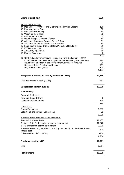## **Major Variations** *£000*

| Growth Items (+4.2%)                                                                                          |           |
|---------------------------------------------------------------------------------------------------------------|-----------|
| 37. Planning Policy Officer and 2 x Principal Planning Officers                                               | 156       |
| 38. Planning Inquiry Fees                                                                                     | 60        |
| 39. Events and Marketing                                                                                      | 50        |
| 40. Vision for the District                                                                                   | 50<br>45  |
| 41. Estates Projects Post<br>42. Rough Sleeper Outreach Worker                                                | 40        |
| 43. Additional Corporate Counter Fraud Officer                                                                | 31        |
| 44. Additional Loader for Green Waste service                                                                 | 30        |
| 45. Legal post to support General Data Protection Regulation                                                  | 21        |
| 46. ICT Data Security                                                                                         | 19        |
| 47. Air Quality equipment                                                                                     | 15        |
| 48. Estates Excellence                                                                                        | 6         |
|                                                                                                               | 523       |
| 49. Contribution to/from reserves – subject to Final Settlement (+9.1%)                                       |           |
| Contribution to the Investment Opportunities Reserve (net movement)                                           | 390       |
| Revenue contribution to the provision for future asset renewals<br><b>Business Rates Equalisation Reserve</b> | 36<br>401 |
| Pay Review Contingency                                                                                        | 300       |
|                                                                                                               | 1,127     |
|                                                                                                               |           |
| <b>Budget Requirement (excluding decrease in NHB)</b>                                                         | 13,786    |
| NHB (movement in year) (-6.2%)                                                                                | $-761$    |
|                                                                                                               |           |
| <b>Budget Requirement 2018-19</b>                                                                             | 13,025    |
| <b>Financed By:</b>                                                                                           |           |
| <b>Financial Settlement</b>                                                                                   |           |
| <b>Revenue Support Grant</b>                                                                                  | 0         |
| Settlement related grants                                                                                     | 189       |
|                                                                                                               | 189       |
| <b>Council Tax</b>                                                                                            |           |
| Council Tax payers                                                                                            | 8,227     |
| Collection Fund surplus (Council Tax)                                                                         | 31        |
|                                                                                                               | 8,258     |
| <b>Business Rates Retention Scheme (BRRS)</b>                                                                 |           |
| <b>Retained Business Rates</b>                                                                                | 19,487    |
| Business Rate Tariff payable to central government                                                            | $-16,676$ |
| BRRS grants from central government                                                                           | 1,229     |
| Business Rates Levy payable to central government (or to the West Sussex                                      |           |
| coastal pool)                                                                                                 | $-870$    |
| Collection Fund deficit (NDR)                                                                                 | $-906$    |
|                                                                                                               | 2,264     |
| <b>Funding excluding NHB</b>                                                                                  | 10,711    |
|                                                                                                               |           |
| <b>NHB</b>                                                                                                    | 2,314     |
| <b>Total Funding</b>                                                                                          | 13,025    |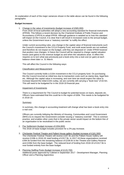An explanation of each of the major variances shown in the table above can be found in the following paragraphs:

#### **Budget Increases**

1. Change in the value of investments (budget increase of £565,000)

From 2018-19 local authorities will adopt a new accounting standard for financial instruments (IFRS9). This follows a recent decision by the Chartered Institute of Public Finance and Accountancy (CIPFA) to adopt IFRS9. Although guidance is awaited as to how this standard will impact on the Council, it is clear that it will result in increased costs to the annual budget. unless the Government issue a "statutory override" to nullify the effect.

Under current accounting rules, any change in the capital value of financial instruments such the Council's investment in the CCLA Property Fund, and multi asset bonds are not realised, and therefore do not impact on the budget, until they are disposed of. Under IFRS9 however that position now changes. In future the Council will be required to charge capital valuation losses (and gains) to the revenue budget as and when the valuations arise. In effect this requires us to turn what was previously just a book entry into a real cost (or gain) at each balance sheet date i.e. 31 March.

This will affect the Council in the following ways:

#### Classification and Measurement

The Council currently holds a £10m investment in the CCLA property fund. On purchasing this the Council incurred an initial loss due to transaction costs such as stamp duty, legal fees etc. Although the capital value is increasing, and over time we would expect the value to increase beyond the initial £10m outlay, we are currently still carrying a "book loss" of £0.5m. This will need to be budgeted for in the 2018-19 financial year.

#### Impairment of Investments

There is a requirement for The Council to budget for potential losses on loans, deposits etc. Officers have estimated that this could be in the region of £65k. This needs to be budgeted for in 2018-19.

#### Summary

In summary, this change in accounting treatment will change what has been a book entry into a real cost.

Officers are currently lobbying the Ministry of Housing, Communities and Local Government (MHCLG) to request the Government consider issuing a "statutory override". This is common practice, and enables other costs that in the private sector would impact on the bottom line of an organisation to be neutralised in the public sector.

- 2. Pay Settlement (budget increase of £354,800) The 2018-19 base budget includes provision for a 2% pay increase.
- 3. Chichester Festival Theatre and Pallant House gallery (budget increase of £161,500) The Chichester Festival Theatre will receive £187.5k and the Pallant House Gallery will receive £130k in 2018-19; total funding of £317.5k. In 2017-18 these organisations received £394.5k funded from the remaining balance of £238.5k in the Theatre and Gallery Reserve and £156k from the base budget. The reduced level of funding from 2018-19 of £317.5k is now funded entirely from the base budget.
- 4. Planning Staffing Posts (budget increase of £115,700) Additional posts approved by Cabinet in September 2017 - Development Manager, Planning Officer and a Planning Apprentice.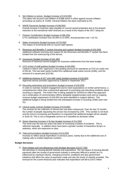- 5. Net Inflation on prices (budget increase of £103,000) This takes into account cost inflation of £268k which is offset against income inflation (excluding car parks) of -£165k. General inflation has been estimated at 3%.
- 6. NNDR Payments (budget increase of £98,900) Overall increase in business rates payable on council owned properties due to the phased reduction to the transitional relief received as a result of the impact of the 2017 rating list.
- 7. Pension Contributions (budget increase of £86,200)  $0.7\%$  contribution increase from 20.30% to 21.00%. Annual pension cost = £2.7m.
- 8. Salary Increments (budget increase of £79,300) The impact of incremental drift on council staff salaries.
- 9. Revenues and Benefits IT system licensing and support (budget increase of £42,500) Additional software licensing and support for the Revenues and Benefits IT system has been funded from the restructuring of the service.
- 10. Insurances (budget increase of £42,400) Removal of historical income budgets for insurance settlements from the base budget.
- 11. CCS review of staff grading (budget increase of £40,000) Cabinet in March 2017 approved a new grading structure for operatives at CCS at a total cost of £92.6k. This has been partly funded from additional trade waste income (£30k), and the removal of a vacant post (£22.6k).
- 12. Additional cleaning of A27 and A&B roads (budget increase of £30,000) Approved service provision approved by Cabinet in September 2017.
- 13. Recycling advertising and promotions (budget increase of £26,000) In order to maintain resident engagement and to meet expectations on further performance, a comprehensive rather than a piecemeal approach to promoting and educating residents about recycling is required. The Action Plan is being updated for 2018/19 to reflect this approach via a continuation of communication efforts alongside targeted project work and an ongoing revenue budget requirement of £26,000 has been identified to support delivery. This additional budget is being funded from the anticipated increase in recycling credits (see note 31).
- 14. Clinical waste contract (budget increase of £19,800) The contract for the collection of clinical has now been outsourced. Over the last 12 months the number of people requesting the service has increased by 10%. This number is not fixed and the trend is increasing and therefore it is expected that additional budget will be needed in 2018-19. This is not a chargeable service as it classified as domestic waste.
- 15. Street cleansing increase in fly-tips (budget increase of £14,500) The trend over the last two years has been of increasing numbers of incidents. This is reflected nationally. In addition there have been a greater number of hazardous fly-tips i.e. asbestos, which are expensive to clear.
- 16. Telecommunications (budget increase of £14,000) Increase to reflect actual expenditure in previous years, mainly due to the additional cost of making calls to mobile telephone numbers.

#### **Budget decreases**

17. Rent rebates and rent allowances (net) (budget decrease of £127,700) Net decrease in Housing Benefit Subsidy and expenditure. The net impact of Housing Benefit payments after the receipt of government subsidy is extremely difficult to predict as it is influenced by caseload volume, changing economic conditions and also government initiatives that affect the value of payments made and also the levels of subsidy provided. The forecast for the current financial year indicates that expenditure will fall to £34.5 million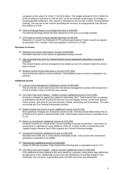compared to the outturn for 2016-17 of £35.8 million. The budget estimate of £31.0 million for 2018-19 reflects a reduction of 10% on 2017-18 as an estimate of the impact of changes to Housing Benefit entitlement. The council is estimated to receive £30.3 million Housing Benefit Subsidy. The net cost to the Council (excluding the recovery of overpayments) has reduced from £842k to £714k.

- 18. Internal Drainage Board Levy (budget decrease of £48,900) The Internal Drainage Board has been dissolved so the levy is no longer payable.
- 19. CTR Grant to Parish Councils (budget decrease of £39,200) Reduction in Council Tax Reduction (CTR) scheme grant paid to Parish Councils as agreed at December 2017 Cabinet. Total sum payable in 2018-19 is £75,892.

#### **Decrease in income**

- 20. Planning Fee Income (decrease in income of £250,000) Estimated reduction in the volume of applications being received.
- 21. Loss of income from Arun DC shared Estates service agreement (decrease in income of £79,100) This shared Estates service arrangement has ended as Arun DC wished to take the service back in-house.
- 22. Building Control income (decrease in income of £57,000) Income estimate reflects current workload. Total Building Control income is estimated to be £415.5k.

#### **Additional Income**

- 23. Leisure Centre Management (additional income of £360,400) The income the Council will receive from the leisure management contract will increase from £179k to £539k in year 3 of the ten year contract.
- 24. Car Parks Fees and Charges inflation increase (additional income of £273,300) Increase in charges as agreed by Cabinet in November 2017. Total income from car parking is estimated to be £6.0m of which £5.0m from Pay and Display income, £0.9m from Season Ticket income, and some £0.1m from licences, rentals, advertising and franchising. This does not include the Civil Parking Enforcement function.
- 25. Estates rentals and licence income (additional income of £244,200) Most significant changes are: Enterprise Centre £124k, Terminus Road £83k (mainly Plot 21 at £55k) and St James' Industrial Estate £23k. Total Estates rental income is estimated to be £1.7m.
- 26. Return on investments (additional income of £240,000) Dividend received as a result of the Council investing in pooled investments. Total return on investments is estimated at some £900k for 2018-19, of which £183k is transferred to the Capital Projects Reserve and £720k supports the Council's Revenue budget.
- 27. Investment Properties (additional income of £192,200) Barnfield Drive £46k and 2-3 East Street Chichester £146k. Total income from Investment properties is estimated to be £985K.
- 28. Planning fees (additional income of £150,000) Impact of 20% fee increase. Total income from Planning fees is estimated to be £1.27m.
- 29. Car Parks Fees and Charges volume increase (additional income of £65,500) £13k additional income relating to the extra spend by customers using phone /app (MiPermit) as opposed to coins. Additionally income from the introduction of evening charges in the Chichester City car parks is generating some £52,800 more than was anticipated.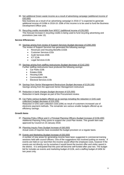30. Net additional Green waste income as a result of advertising campaign (additional income of £50,000)

New business as a result of an advertising campaign in 2016-17 is expected to generate additional income of £106k in 2018-19. £56k of this income is to be used to fund the Business Development Officer post.

31. Recycling credits receivable from WSCC (additional income of £26,000) This forecast increase in recycling credits is being used to fund recycling advertising and promotions (see note 13).

#### **Service Efficiencies**

- 32. Savings arising from review of Support Services (budget decrease of £260,200) The review of Support Services has generated the following savings:
	- Revenues and Housing Benefits £152k
	- Customer Services £31k
	- Audit Services £50k
	- $ICTf14k$
	- Legal Services £13k
- 33. Savings arising from staffing restructures (budget decrease of £142,200) Further staffing restructures have produced the following savings:
	- Car Parks £16k
	- Estates £64k
	- Housing £30k
	- Communities £18k
	- Electoral Services £15k
- 34. Savings from Senior Management Restructure (budget decrease of £129,100) Savings arising from the approved Senior Management restructure
- 35. Reduction in bank charges (budget decrease of £25,000) Reduction in bank charges as part of the Procurement review.
- 36. Car Parks various budgets offered up as savings including the reduction in G4S cash collection( budget decrease of £24,200) Reduction in G4S cash collection costs (£9k) as result of customers increased use of electronic payment methods. The remainder are various smaller budgets offered up as efficiency savings.

#### **Growth Items**

- 37. Planning Policy Officer and 2 x Principal Planning Officers (budget increase of £156,400) Additional Planning Policy posts to support the Local Plan review. This growth item was approved by Council on 23 January 2018.
- 38. Planning Inquiry Fees (budget increase of £60,000) Actual costs of inquiries have exceeded the budget provision on a regular basis.
- 39. Events and Marketing (budget increase of £50,000) A number of new areas for generating income have been suggested in commercial training sessions held with council officers. One of the suggestions has involved putting on events. If events are held on our land then the income would offset the employee costs, however if the events are not directly run by ourselves it would boost the tourism offer and visitor spend in the district. It is anticipated that this post will become self-funded after year two. The budget bid for includes an events and marketing budget of £10k, and a staffing budget of £40k for two years only.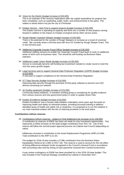40. Vision for the District (budget increase of £50,000)

This is an estimate of the revenue implications after the capital expenditure for projects has been completed, such as wayfinding, public realm, and enhancements to the parks. This relates to whole district not just the city of Chichester.

- 41. Estates Service New Post to support projects (budget increase of £45,000) The Estates Service is operating at capacity and there are a number of new projects coming forward in addition to the impact on Estates of projects led by other service areas.
- 42. Rough Sleeper Outreach Sleeper (budget increase of £40,000) There is the potential for the number of Rough Sleepers to increase as a result of universal credit. We currently share a full time post with Arun DC funded by Rough Sleeper Grant. This is new full time post.
- 43. Additional Corporate Counter Fraud Officer (budget increase of £30,500) Additional staffing resource to enable the Corporate Counter Fraud team to work on additional areas of work such as business rates. This should be self-funding via Business Rates retention.
- 44. Additional Loader Green Waste (budget increase of £30,000) Service to eventually become self-funding but investment needed to create round to meet the next five years growth targets.
- 45. Legal Services post to support General Data Protection Regulation (GDPR) (budget increase of £20,900) A new post to support compliance to the General Data Protection Regulation.
- 46. ICT Data Security (budget increase of £19,000) Improving data security through the purchase of third party software to prevent non-CDC devices accessing our network.
- 47. Air Quality equipment (budget increase of £15,000) Community based initiatives. A members working group is considering Air Quality evidence from various sources and new government policy in order to update Action Plan.
- 48. Estates Excellence (budget increase of £6,000) Estates Excellence' was a Sussex wide initiative undertaken some years ago focussed on improving health and safety on industrial estates, providing focussed training to address identified areas of health and safety risk or weakness. It is proposed to re-run the initiative in our main industrial estates with the aim of reducing accidents in the work place.

#### **Contributions to/from reserves**

49. Contributions to/from reserves - subject to Final Settlement (an increase of £1,128,000) A contribution to reserves of £862k has been set aside for new investment opportunities. This represents a £391k increase on the base budget contribution from 2017-18. Use of this reserve will follow the normal project approval process via Cabinet and Council (depending on value).

Inflationary increase in contribution to the Asset Replacement Programme (ARP) of £36k. Total contribution to the ARP is £1.3m.

The budget for 2018-19 also includes a £738k contribution from the Business Rates Equalisation Reserve (£1.139m in 2017-18). This reserve is used to account for the net effect of timing differences between funds recognised in the Council's General Fund in accordance with accounting rules and the timing of cash payments received from Central Government.

A pay review contingency of £300k has been provided for in the 2018-19 base budget. This was included in the Financial Strategy considered by Cabinet in December 2017.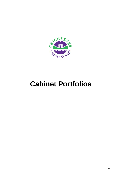<span id="page-14-0"></span>

## **Cabinet Portfolios**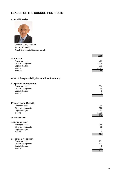## <span id="page-15-0"></span>**LEADER OF THE COUNCIL PORTFOLIO**

#### **Council Leader**



Cllr Mr A (Tony) Dignum Tel: 01243 538585 Email: tdignum@chichester.gov.uk

|                     | £000     |
|---------------------|----------|
| <b>Summary</b>      |          |
| Employee costs      | 2,473    |
| Other running costs | 2,415    |
| Capital charges     | 701      |
| Income              | $-8,543$ |
| Net Cost            | $-2,954$ |

## **Area of Responsibility included in Summary:**

## **Corporate Management**

| Employee costs      | 884 |
|---------------------|-----|
| Other running costs | 39  |
| Capital charges     | 8   |
| Income              |     |
|                     | 931 |

| <b>Property and Growth</b>  |          |
|-----------------------------|----------|
| Employee costs              | 986      |
| Other running costs         | 576      |
| Capital charges             | 423      |
| Income                      | $-1,729$ |
|                             | 256      |
| <b>Which includes:</b>      |          |
| <b>Building Services</b>    |          |
| Employee costs              | 248      |
| Other running costs         | 23       |
| Capital charges             | 3        |
| Income                      | 0        |
|                             | 274      |
| <b>Economic Development</b> |          |
| Employee costs              | 291      |
| Other running costs         | 173      |
| Capital charges             | 5        |
| Income                      | -42      |

**427**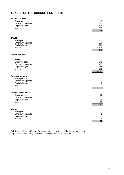## **LEADER OF THE COUNCIL PORTFOLIO**

| <b>Estates Services</b>    |                          |
|----------------------------|--------------------------|
| Employee costs             | 447                      |
| Other running costs        | 380                      |
| Capital charges            | 415                      |
| Income                     | $-1,687$                 |
|                            | $-445$                   |
|                            |                          |
| <b>Place</b>               |                          |
|                            |                          |
| Employee costs             | 603                      |
| Other running costs        | 1,800<br>270             |
| Capital charges<br>Income  |                          |
|                            | $-6,814$<br>$-4,141$     |
|                            |                          |
| <b>Which includes:</b>     |                          |
| <b>Car Parks</b>           |                          |
| Employee costs             | 541                      |
| Other running costs        | 1,409                    |
| Capital charges            | 185                      |
| Income                     | $-6,780$                 |
|                            | $-4,645$                 |
| <b>Footway Lighting</b>    |                          |
| Employee costs             | 0                        |
| Other running costs        | $\overline{\mathcal{A}}$ |
| Capital charges            | $\boldsymbol{0}$         |
| Income                     | $\boldsymbol{0}$         |
|                            | $\overline{\mathbf{4}}$  |
| <b>Public Conveniences</b> |                          |
| Employee costs             | 39                       |
| Other running costs        | 385                      |
| Capital charges            | 85                       |
| Income                     | $-28$                    |
|                            | 481                      |
| <b>Vision</b>              |                          |
| Employee costs             | 23                       |
| Other running costs        | $\overline{2}$           |
| Capital charges            | $\pmb{0}$                |
| Income                     | $-6$                     |
|                            | 19                       |

Full details of Cabinet Member Responsibilities can be found in the Council Website at http://chichester.moderngov.co.uk/mgCommitteeDetails.aspx?ID=135.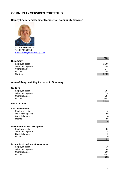## <span id="page-17-0"></span>**COMMUNITY SERVICES PORTFOLIO**

## **Deputy Leader and Cabinet Member for Community Services**



Cllr Mrs Eileen Lintill Tel: 01798 342948 [Email: elintill@chichester.gov.uk](mailto:elintill@chichester.gov.uk)

|                     | £000     |
|---------------------|----------|
| <b>Summary</b>      |          |
| Employee costs      | 2,355    |
| Other running costs | 2,608    |
| Capital charges     | 944      |
| Income              | $-2,498$ |
| Net Cost            | 3,409    |

## **Area of Responsibility included in Summary:**

| <b>Culture</b>                             |                         |
|--------------------------------------------|-------------------------|
| Employee costs                             | 383                     |
| Other running costs                        | 1,028                   |
| Capital charges                            | 884                     |
| Income                                     | $-851$                  |
|                                            | 1,444                   |
| <b>Which includes:</b>                     |                         |
| <b>Arts Development</b>                    |                         |
| Employee costs                             | 0                       |
| Other running costs                        | 50                      |
| Capital charges                            | 4                       |
| Income                                     | $-50$                   |
|                                            | $\overline{\mathbf{4}}$ |
| <b>Leisure and Sports Development</b>      |                         |
| Employee costs                             | 26                      |
| Other running costs                        | 4                       |
| Capital charges                            | $\boldsymbol{9}$        |
| Income                                     | $\mathbf 0$             |
|                                            | 39                      |
|                                            |                         |
| <b>Leisure Centres Contract Management</b> |                         |
| Employee costs                             | 20                      |
| Other running costs                        | 68                      |
| Capital charges                            | 666                     |
| Income                                     | $-503$<br>251           |
|                                            |                         |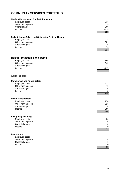## **COMMUNITY SERVICES PORTFOLIO**

#### **Novium Museum and Tourist Information**

| Employee costs<br>Other running costs<br>Capital charges<br>Income | 333<br>525<br>200<br>$-225$<br>833 |
|--------------------------------------------------------------------|------------------------------------|
| <b>Pallant House Gallery and Chichester Festival Theatre</b>       |                                    |
| Employee costs                                                     | 4                                  |
| Other running costs<br>Capital charges                             | 381<br>5                           |
| Income                                                             | $-73$                              |
|                                                                    | 317                                |
| <b>Health Protection &amp; Wellbeing</b>                           |                                    |
| Employee costs                                                     | 669                                |
| Other running costs<br>Capital charges                             | 349<br>11                          |
| Income                                                             | $-297$                             |
|                                                                    | 732                                |
| <b>Which includes:</b>                                             |                                    |
| <b>Commercial and Public Safety</b>                                |                                    |
| Employee costs                                                     | 371                                |
| Other running costs<br>Capital charges                             | 76<br>6                            |
| Income                                                             | -8                                 |
|                                                                    | 445                                |
| <b>Health Development</b>                                          |                                    |
| Employee costs<br>Other running costs                              | 258<br>223                         |
| Capital charges                                                    | 4                                  |
| Income                                                             | $-289$                             |
|                                                                    | 196                                |
| <b>Emergency Planning</b>                                          |                                    |
| Employee costs<br>Other running costs                              | 36<br>36                           |
| Capital charges                                                    | 0                                  |
| Income                                                             | 0                                  |
|                                                                    | $\overline{72}$                    |
| <b>Pest Control</b>                                                |                                    |
| Employee costs<br>Other running costs                              | 4<br>14                            |
| Capital charges                                                    | $\mathbf 1$                        |
| Income                                                             | 0                                  |
|                                                                    | 19                                 |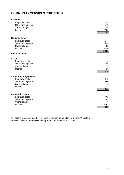## **COMMUNITY SERVICES PORTFOLIO**

| <b>Careline</b>             |                  |
|-----------------------------|------------------|
| Employee costs              | 759              |
| Other running costs         | 273              |
| Capital charges             | 16               |
| Income                      | $-1,000$         |
|                             | 48               |
| <b>Communities</b>          |                  |
| Employee costs              | 544              |
| Other running costs         | 958              |
| Capital charges             | 33               |
| Income                      | $-350$           |
|                             | 1,185            |
| <b>Which includes:</b>      |                  |
| <b>CCTV</b>                 |                  |
| Employee costs              | 0                |
| Other running costs         | 206              |
| Capital charges             | 19               |
| Income                      | $-15$            |
|                             | $\overline{210}$ |
| <b>Community Engagement</b> |                  |
| Employee costs              | 142              |
| Other running costs         | 690              |
| Capital charges             | 6                |
| Income                      | $-172$           |
|                             | 666              |
| <b>Community Safety</b>     |                  |
| Employee costs              | 402              |
| Other running costs         | 62               |
| Capital charges             | 8                |
| Income                      | $-163$           |
|                             | 309              |

Full details of Cabinet Member Responsibilities can be found in the Council Website at http://chichester.moderngov.co.uk/mgCommitteeDetails.aspx?ID=135.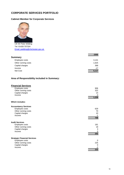## <span id="page-20-0"></span>**CORPORATE SERVICES PORTFOLIO**

### **Cabinet Member for Corporate Services**



Cllr Mr Peter Wilding Tel: 01428 707324 [Email: pwilding@chichester.gov.uk](mailto:phardwick@chichester.gov.uk) 

|                     | £000  |
|---------------------|-------|
| <b>Summary</b>      |       |
| Employee costs      | 3,141 |
| Other running costs | 1,625 |
| Capital charges     | 368   |
| Income              | -17   |
| Net Cost            | 5,117 |

## **Area of Responsibility included in Summary:**

## **Financial Services**

| Employee costs      | 906   |
|---------------------|-------|
| Other running costs | 322   |
| Capital charges     | 14    |
| Income              | -3    |
|                     | 1,239 |

#### **Which includes:**

| <b>Accountancy Services</b>         |      |
|-------------------------------------|------|
| Employee costs                      | 629  |
| Other running costs                 | 70   |
| Capital charges                     | 10   |
| Income                              | -1   |
|                                     | 708  |
| <b>Audit Services</b>               |      |
| Employee costs                      | 181  |
| Other running costs                 | 18   |
| Capital charges                     | 3    |
| Income                              | 0    |
|                                     | 202  |
|                                     |      |
| <b>Strategic Financial Services</b> |      |
| Employee costs                      | 0    |
| Other running costs                 | 225  |
| Capital charges                     | 0    |
| Income                              | $-2$ |
|                                     | 223  |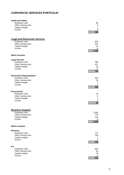## **CORPORATE SERVICES PORTFOLIO**

| <b>Health and Safety</b><br>Employee costs<br>Other running costs<br>Capital charges<br>Income             | 96<br>9<br>1<br>$\mathbf 0$<br>106  |
|------------------------------------------------------------------------------------------------------------|-------------------------------------|
| <b>Legal and Democratic Services</b><br>Employee costs<br>Other running costs<br>Capital charges<br>Income | 650<br>524<br>21<br>-5<br>1,190     |
| <b>Which includes:</b>                                                                                     |                                     |
| <b>Legal Services</b><br>Employee costs<br>Other running costs<br>Capital charges<br>Income                | 288<br>437<br>16<br>-5<br>736       |
| <b>Democratic Representation</b>                                                                           |                                     |
| Employee costs<br>Other running costs<br>Capital charges<br>Income                                         | 319<br>83<br>4<br>0<br>406          |
| <b>Procurement</b>                                                                                         |                                     |
| Employee costs<br>Other running costs<br>Capital charges<br>Income                                         | 43<br>4<br>1<br>$\mathbf 0$<br>48   |
| <b>Business Support</b>                                                                                    |                                     |
| Employee costs<br>Other running costs<br>Capital charges<br>Income                                         | 1,585<br>779<br>333<br>-9<br>2,688  |
| <b>Which includes:</b>                                                                                     |                                     |
| <b>Elections</b>                                                                                           |                                     |
| Employee costs<br>Other running costs<br>Capital charges<br>Income                                         | 173<br>106<br>5<br>$\pmb{0}$<br>284 |
| <b>ICT</b>                                                                                                 |                                     |
| Employee costs<br>Other running costs<br>Capital charges<br>Income                                         | 854<br>58<br>13<br>$-3$<br>922      |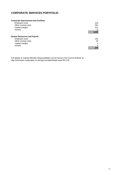## **CORPORATE SERVICES PORTFOLIO**

#### **Corporate Improvement and Facilities**

| Employee costs                     | 316   |
|------------------------------------|-------|
| Other running costs                | 582   |
| Capital charges                    | 311   |
| Income                             | -6    |
|                                    | 1,203 |
| <b>Human Resources and Payroll</b> |       |
| Employee costs                     | 242   |
| Other running costs                | 33    |
| Capital charges                    | 4     |
| Income                             | 0     |
|                                    | 279   |

Full details of Cabinet Member Responsibilities can be found in the Council Website at http://chichester.moderngov.co.uk/mgCommitteeDetails.aspx?ID=135.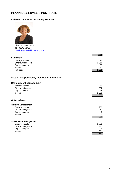## <span id="page-23-0"></span>**PLANNING SERVICES PORTFOLIO**

## **Cabinet Member for Planning Services**



Cllr Mrs Susan Taylor Tel: 01243 514034 [Email: sttaylor@chichester.gov.uk](mailto:sttaylor@chichester.gov.uk) 

|                     | £000     |
|---------------------|----------|
| Summary             |          |
| Employee costs      | 2,622    |
| Other running costs | 1,016    |
| Capital charges     | 35       |
| Income              | $-2,042$ |
| Net Cost            | 1,631    |

### **Area of Responsibility included in Summary:**

|  | <b>Development Management</b> |  |
|--|-------------------------------|--|
|  |                               |  |

| Employee costs      | 1,939    |
|---------------------|----------|
| Other running costs | 392      |
| Capital charges     | 29       |
| Income              | $-1,965$ |
|                     | 395      |

#### **Which includes:**

| <b>Planning Enforcement</b>   |        |
|-------------------------------|--------|
| Employee costs                | 200    |
| Other running costs           | 61     |
| Capital charges               | 5      |
| Income                        | $-4$   |
|                               | 262    |
| <b>Development Management</b> |        |
| Employee costs                | 1,739  |
| Other running costs           | 331    |
| Capital charges               | 24     |
| Income                        | -1,961 |

**133**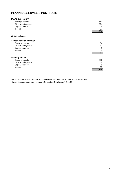## **PLANNING SERVICES PORTFOLIO**

| <b>Planning Policy</b>         |       |
|--------------------------------|-------|
| Employee costs                 | 683   |
| Other running costs            | 624   |
| Capital charges                | 6     |
| Income                         | -77   |
|                                | 1,236 |
| <b>Which includes:</b>         |       |
| <b>Conservation and Design</b> |       |
| Employee costs                 | 54    |
| Other running costs            | 40    |
| Capital charges                |       |
| Income                         | -8    |
|                                | 87    |
| <b>Planning Policy</b>         |       |
| Employee costs                 | 629   |
| Other running costs            | 584   |
| Capital charges                | 5     |
| Income                         | -69   |
|                                | 1,149 |

Full details of Cabinet Member Responsibilities can be found in the Council Website at http://chichester.moderngov.co.uk/mgCommitteeDetails.aspx?ID=135.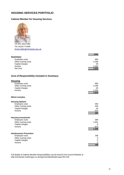## <span id="page-25-0"></span>**HOUSING SERVICES PORTFOLIO**

## **Cabinet Member for Housing Services**



Cllr Mrs Jane Kilby Tel: 01243 773494 Email: jkilby@chichester.gov.uk

|                                             | £000     |
|---------------------------------------------|----------|
| <b>Summary</b>                              |          |
| Employee costs                              | 993      |
| Other running costs                         | 2,180    |
| Capital charges                             | 40       |
| Income                                      | $-1,393$ |
| Net Cost                                    | 1,820    |
| Area of Responsibility included in Summary: |          |
| <b>Housing</b>                              |          |
| Employee costs                              | 993      |
| Other running costs                         | 2,180    |
| Capital charges                             | 40       |
| Income                                      | $-1,393$ |
|                                             | 1,820    |
| <b>Which includes:</b>                      |          |
| <b>Housing Options</b>                      |          |
| Employee costs                              | 406      |
| Other running costs                         | 349      |
| Capital charges                             | 34       |
| Income                                      | $-523$   |
|                                             | 266      |
| <b>Housing Investments</b>                  |          |
| Employee costs                              | 389      |
| Other running costs                         | 1,831    |
| Capital charges                             | 6        |

| <b>Homlessness Prevention</b> |     |
|-------------------------------|-----|
| Employee costs                | 198 |
| Other running costs           | 0   |
| Capital charges               | 0   |
| Income                        | 0   |
|                               | 198 |

Income -870

Full details of Cabinet Member Responsibilities can be found in the Council Website at http://chichester.moderngov.co.uk/mgCommitteeDetails.aspx?ID=135.

**1,356**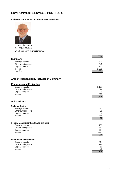## <span id="page-26-0"></span>**ENVIRONMENT SERVICES PORTFOLIO**

#### **Cabinet Member for Environment Services**



Cllr Mr John Connor Tel: 01243 604243 Email: jconnor@chichester.gov.uk

|                     | £000     |
|---------------------|----------|
| Summary             |          |
| Employee costs      | 1,723    |
| Other running costs | 849      |
| Capital charges     | 240      |
| Income              | $-1,261$ |
| Net Cost            | 1,551    |

#### **Area of Responsibility included in Summary:**

| <b>Environmental Protection</b>             |        |
|---------------------------------------------|--------|
| Employee costs                              | 1,137  |
| Other running costs                         | 674    |
| Capital charges                             | 229    |
| Income                                      | $-831$ |
|                                             | 1,209  |
| <b>Which includes:</b>                      |        |
| <b>Building Control</b>                     |        |
| Employee costs                              | 410    |
| Other running costs                         | 58     |
| Capital charges                             | 6      |
| Income                                      | $-416$ |
|                                             | 58     |
| <b>Coastal Management and Land Drainage</b> |        |
| Employee costs                              | 103    |
| Other running costs                         | 310    |
| Capital charges                             | 204    |
| Income                                      | $-237$ |
|                                             | 380    |
| <b>Environmental Protection</b>             |        |
| Employee costs                              | 414    |
| Other running costs                         | 126    |
| Capital charges                             | 10     |
| Income                                      | $-46$  |
|                                             | 504    |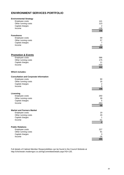## **ENVIRONMENT SERVICES PORTFOLIO**

| <b>Environmental Strategy</b><br>Employee costs<br>Other running costs<br>Capital charges<br>Income<br><b>Foreshores</b> | 141<br>123<br>$\overline{2}$<br>$-108$<br>158 |
|--------------------------------------------------------------------------------------------------------------------------|-----------------------------------------------|
| Employee costs<br>Other running costs<br>Capital charges<br>Income                                                       | 69<br>57<br>$\overline{7}$<br>$-24$<br>109    |
| <b>Promotion &amp; Events</b>                                                                                            | 586                                           |
| Employee costs                                                                                                           | 175                                           |
| Other running costs                                                                                                      | 11                                            |
| Capital charges                                                                                                          | $-430$                                        |
| Income                                                                                                                   | $\frac{1}{342}$                               |
| <b>Which includes:</b>                                                                                                   |                                               |
| <b>Consultation and Corporate Information</b>                                                                            | 90                                            |
| Employee costs                                                                                                           | 16                                            |
| Other running costs                                                                                                      | $\overline{2}$                                |
| Capital charges                                                                                                          | $\mathbf 0$                                   |
| Income                                                                                                                   | 108                                           |
| Licensing                                                                                                                | 250                                           |
| Employee costs                                                                                                           | 39                                            |
| Other running costs                                                                                                      | $\overline{5}$                                |
| Capital charges                                                                                                          | $-353$                                        |
| Income                                                                                                                   | $-59$                                         |
| <b>Market and Farmers Market</b>                                                                                         | 19                                            |
| Employee costs                                                                                                           | 29                                            |
| Other running costs                                                                                                      | $\mathbf{1}$                                  |
| Capital charges                                                                                                          | $-51$                                         |
| Income                                                                                                                   | $-2$                                          |
| <b>Public Relations</b>                                                                                                  | 227                                           |
| Employee costs                                                                                                           | 91                                            |
| Other running costs                                                                                                      | 3                                             |
| Capital charges                                                                                                          | $-26$                                         |
| Income                                                                                                                   | 295                                           |

Full details of Cabinet Member Responsibilities can be found in the Council Website at http://chichester.moderngov.co.uk/mgCommitteeDetails.aspx?ID=135.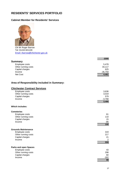## <span id="page-28-0"></span>**RESIDENTS' SERVICES PORTFOLIO**

#### **Cabinet Member for Residents' Services**



Cllr Mr Roger Barrow Tel: 01243 601100 [Email: rbarrow@chichester.gov.uk](mailto:rbarrow@chichester.gov.uk)

|                     | £000      |
|---------------------|-----------|
| <b>Summary</b>      |           |
| Employee costs      | 5,478     |
| Other running costs | 34,117    |
| Capital charges     | 625       |
| Income              | $-35,759$ |
| Net Cost            | 4,461     |

#### **Area of Responsibility included in Summary:**

## **Chichester Contract Services**

| Employee costs               | 3,636    |
|------------------------------|----------|
| Other running costs          | 3,019    |
| Capital charges              | 579      |
| Income                       | $-3,768$ |
|                              | 3,466    |
| Which includes:              |          |
| <b>Cemeteries</b>            |          |
| Employee costs               | 61       |
| Other running costs          | 110      |
| Capital charges              | 15       |
| Income                       | -86      |
|                              | 100      |
| <b>Grounds Maintenance</b>   |          |
| Employee costs               | 319      |
| Other running costs          | 217      |
| Capital charges              | 21       |
| Income                       | 2        |
|                              | 559      |
|                              |          |
| <b>Parks and open Spaces</b> |          |
| Employee costs               | 43       |
| Other running costs          | 298      |
| Capital charges              | 60       |
| Income                       | $-302$   |
|                              | 99       |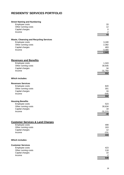## **RESIDENTS' SERVICES PORTFOLIO**

| <b>Street Naming and Numbering</b>             |                 |
|------------------------------------------------|-----------------|
| Employee costs                                 | 33              |
| Other running costs                            | 12              |
| Capital charges                                | $\mathbf 0$     |
| Income                                         | $\frac{-2}{43}$ |
|                                                |                 |
| <b>Waste, Cleansing and Recycling Services</b> |                 |
| Employee costs                                 | 3,180           |
| Other running costs                            | 2,382           |
| Capital charges                                | 483             |
| Income                                         | $-3,380$        |
|                                                | 2,665           |
|                                                |                 |
| <b>Revenues and Benefits</b>                   |                 |
| Employee costs                                 | 1,343           |
| Other running costs                            | 30,935          |
| Capital charges                                | 34              |
| Income                                         | $-31,760$       |
|                                                | 552             |
| <b>Which includes:</b>                         |                 |
| <b>Revenues Services</b>                       |                 |
| Employee costs                                 | 820             |
| Other running costs                            | 301             |
| Capital charges                                | 16              |
| Income                                         | $-545$          |
|                                                | 592             |
| <b>Housing Benefits</b>                        |                 |
| Employee costs                                 | 523             |
| Other running costs                            | 30,634          |
| Capital charges                                | 18              |
| Income                                         | $-31,215$       |
|                                                | -40             |
|                                                |                 |
| <b>Customer Services &amp; Land Charges</b>    |                 |
| Employee costs                                 | 499             |
| Other running costs                            | 163             |
| Capital charges                                | 12              |
| Income                                         | $-231$          |
|                                                | 443             |
| <b>Which includes:</b>                         |                 |
| <b>Customer Services</b>                       |                 |
| Employee costs                                 | 423             |
| Other running costs                            | 118             |
| Capital charges                                | 10              |
| Income                                         | $-2$            |
|                                                | 549             |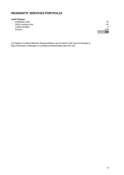## **RESIDENTS' SERVICES PORTFOLIO**

#### **Land Charges**

Employee costs 76 Other running costs Capital charges<br>Income Income -229

| , J  |
|------|
| 45   |
| 2    |
| -229 |
| -106 |

Full details of Cabinet Member Responsibilities can be found in the Council Website at http://chichester.moderngov.co.uk/mgCommitteeDetails.aspx?ID=135.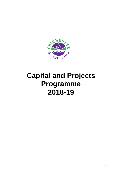<span id="page-31-0"></span>

## **Capital and Projects Programme 2018-19**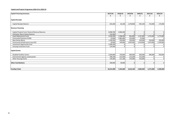#### **Capital and Projects Programme 2018-19 to 2022-23**

| <b>Capital Financing Summary</b>                 | 2017/18    | 2018/19   | 2019/20        | 2020/21   | 2021/22   | 2022/23        |
|--------------------------------------------------|------------|-----------|----------------|-----------|-----------|----------------|
|                                                  | £          |           | f              | f         | £         | £              |
| <b>Capital Receipts</b>                          |            |           |                |           |           |                |
| Capital Receipts Reserve                         | 634,200    | 82,100    | 1,478,800      | 945,100   | 725,000   | 175,000        |
| <b>Revenue Financing</b>                         |            |           |                |           |           |                |
| Capital Projects Fund / General Revenue Reserves | 8,098,700  | 2,966,500 | 0              |           |           | $\overline{0}$ |
| Chichester Warm Homes Reserve                    | 122,200    | $\Omega$  | $\Omega$       |           |           | $\mathbf{0}$   |
| Asset Replacement Fund                           | 2,558,200  | 1,398,400 | 861,800        | 1,747,000 | 1,725,000 | 1,773,000      |
| Commuted Payments (S106)                         | 23,600     | 1,085,000 | 210,000        | 76,300    | $\Omega$  | $\overline{0}$ |
| <b>New Homes Bonus</b>                           | 1,328,200  | 250,000   | 250,000        | 250,000   | 250,000   | 250,000        |
| Community Infrastructure Levy (CIL)              | 20,000     | 140,000   | 1,835,000      | 1,410,000 | 1,675,000 | 1,250,000      |
| Investment Opportunity Fund                      | 2,589,100  |           | 0              |           |           | $\mathbf{0}$   |
| Housing Investment Fund                          | 235,000    |           | $\overline{0}$ |           |           | $\mathbf{0}$   |
| <b>Capital Grants</b>                            |            |           |                |           |           |                |
| <b>Disabled Facilities Grants</b>                | 2,069,800  | 750,000   | 800,000        | 850,000   | 900,000   | 950,000        |
| Environment Agency coastal grants                | 348,100    | 212,500   | 212,500        | 212,500   |           | $\mathbf{0}$   |
| <b>Other Housing Grants</b>                      | 195,000    | 511,100   | 370,000        | 310,000   | $\Omega$  | $\overline{0}$ |
| <b>Other Contributions</b>                       | 208,900    | 49,000    | $\overline{0}$ |           | $\Omega$  | $\mathbf{0}$   |
| <b>Funding Totals</b>                            | 18,431,000 | 7,444,600 | 6,018,100      | 5,800,900 | 5,275,000 | 4,398,000      |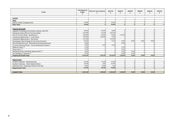| Project                                                  | <b>Total Approved</b><br><b>Budget</b><br>£ | <b>Total Prior Years Payments</b> | 2017/18<br>f | 2018/19<br>£ | 2019/20<br>f | 2020/21<br>f | 2021/22<br>£ | 2021/22      |
|----------------------------------------------------------|---------------------------------------------|-----------------------------------|--------------|--------------|--------------|--------------|--------------|--------------|
|                                                          |                                             |                                   |              |              |              |              |              |              |
| <b>LEADER</b>                                            |                                             |                                   |              |              |              |              |              |              |
| Place                                                    |                                             |                                   |              |              |              |              |              |              |
| <b>Electric Vehicle Charging Points</b>                  | 143,900                                     |                                   | 143,900      |              | $\Omega$     |              |              |              |
| <b>Place Total</b>                                       | 143,900                                     |                                   | 143,900      | $\Omega$     | $\Omega$     | <b>n</b>     | $\Omega$     | <sup>n</sup> |
|                                                          |                                             |                                   |              |              |              |              |              |              |
| <b>Property &amp; Growth</b>                             |                                             |                                   |              |              |              |              |              |              |
| Upgrade of Heating and Ventilation Systems, SW, EPH      | 186,300                                     | 159,500                           | 26,800       | $\Omega$     | $\Omega$     |              |              |              |
| Enterprise Centre (Plot 12 Terminus Road)                | 6,245,900                                   | 573,200                           | 5,672,700    | $\Omega$     | $\Omega$     |              |              |              |
| Plot 21 Terminus Road - Development                      | 2,083,000                                   | 190,500                           | 776,000      | 1,116,500    | $\Omega$     |              |              |              |
| Investment Opportunity 2 - Crane Street                  | 1,650,000                                   | 1,626,800                         | 23,200       |              | $\Omega$     |              |              |              |
| Investment Opportunity 4 - East Street                   | 3,717,000                                   |                                   | 3,717,000    |              |              |              |              |              |
| Developing a New Strategy for the Visitor Economy        | 265,000                                     |                                   | 47,100       | 67,900       | 50,000       | 50,000       | 50,000       |              |
| New Employment Land - Retaining & attracting businesses  | 40,000                                      |                                   | $\Omega$     | 40,000       |              |              |              |              |
| St. James Industrial Estate - Future development options | 25,000                                      | 9,100                             | 15,900       |              |              |              |              |              |
| Midhurst Vision **                                       | 12,500                                      |                                   | $\Omega$     | 12,500       | $\Omega$     |              |              |              |
| Selsey Vision **                                         | 10,500                                      |                                   | $\Omega$     | 10,500       | $\Omega$     |              |              |              |
| Bracklesham Bay Land/Asset Opportunities **              | 55,000                                      |                                   | $\Omega$     | 32,500       | 22,500       |              |              |              |
| The Old Bakery. Petworth **                              | 52,500                                      |                                   | $\Omega$     | 30,000       | 22,500       |              |              |              |
| <b>Property &amp; Growth Total</b>                       | 14,342,700                                  | 2,559,100                         | 10,278,700   | 1,309,900    | 95,000       | 50,000       | 50,000       |              |
|                                                          |                                             |                                   |              |              |              |              |              |              |
| Regeneration                                             |                                             |                                   |              |              |              |              |              |              |
| Southern Gateway - Masterplanning                        | 194,500                                     | 81,200                            | 113,300      | $\Omega$     | $\Omega$     |              |              |              |
| Southern Gateway - Initial implementation                | 155,000                                     | 1,600                             | 153,400      |              |              |              |              |              |
| Chichester City - Preparing a Vision for the City        | 65,000                                      | 57,900                            | 7,100        |              | $\Omega$     |              |              |              |
| <b>Regeneration Total</b>                                | 414,500                                     | 140,700                           | 273,800      |              | $\Omega$     | n            |              | <sup>0</sup> |
|                                                          |                                             |                                   |              |              |              |              |              |              |
| <b>LEADER TOTAL</b>                                      | 14,901,100                                  | 2,699,800                         | 10,696,400   | 1,309,900    | 95,000       | 50,000       | 50,000       | $\Omega$     |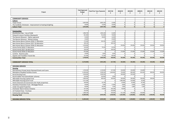| Project                                                       | <b>Total Approved</b><br><b>Budget</b><br>£ | <b>Total Prior Years Payments</b><br>£ | 2017/18<br>£ | 2018/19<br>£   | 2019/20<br>£   | 2020/21<br>£   | 2021/22<br>£ | 2021/22<br>£ |
|---------------------------------------------------------------|---------------------------------------------|----------------------------------------|--------------|----------------|----------------|----------------|--------------|--------------|
|                                                               |                                             |                                        |              |                |                |                |              |              |
| <b>COMMUNITY SERVICES</b>                                     |                                             |                                        |              |                |                |                |              |              |
| <b>Culture</b><br><b>Tower Street</b>                         | 6,905,000                                   | 6,892,100                              | 12,900       | $\overline{0}$ | 0              | $\overline{0}$ | $\Omega$     | 0            |
| The Guildhall, Chichester - Improvement to heating & lighting | 30,000                                      | 15,600                                 | 14,400       | $\mathbf 0$    | 0              | $\Omega$       | $\Omega$     | $\Omega$     |
| <b>Culture Total</b>                                          | 6,935,000                                   | 6,907,700                              | 27,300       | $\Omega$       | $\Omega$       | $\Omega$       | $\Omega$     | $\mathbf{0}$ |
|                                                               |                                             |                                        |              |                |                |                |              |              |
| <b>Communities</b>                                            |                                             |                                        |              |                |                |                |              |              |
| Bracklesham Bay - Use of S106                                 | 1,986,700                                   | 1,965,100                              | 21,600       | $\mathbf 0$    | $\overline{0}$ | $\overline{0}$ | $\Omega$     | 0            |
| Petworth Leisure Facilities (Skatepark)                       | 831,900                                     | 761,900                                | 70,000       | $\Omega$       | 0              | $\Omega$       | $\Omega$     | $\mathbf 0$  |
| The Novium Museum - Option appraisal                          | 55,000                                      | 40,600                                 | 14,400       | $\Omega$       | $\overline{0}$ | $\Omega$       | $\Omega$     | 0            |
| The Novium Museum - Market testing                            | 25,600                                      | $\Omega$                               | 25,600       | $\overline{0}$ | $\Omega$       | $\Omega$       | $\Omega$     | 0            |
| New Homes Bonus Scheme 2016-17 Allocation                     | 173,300                                     | 162,100                                | 11,200       | $\Omega$       | $\overline{0}$ | $\Omega$       |              | $\mathbf 0$  |
| New Homes Bonus Scheme 2017-18 Allocation                     | 189,100                                     |                                        | 189,100      | $\Omega$       | $\Omega$       |                |              | 0            |
| New Homes Bonus Scheme 2018-22 Allocation                     | 1,250,000                                   | $\Omega$                               | $\Omega$     | 250,000        | 250,000        | 250,000        | 250,000      | 250,000      |
| Grants Portal 2016-17 Allocation                              | 144,400                                     | 79,100                                 | 65,300       | $\Omega$       | $\Omega$       |                |              | 0            |
| Grants Portal 2017-18 Allocation                              | 106,500                                     |                                        | 106,500      |                | $\Omega$       |                |              | n            |
| Grants Portal 2018-22 Allocation                              | 875,000                                     | $\overline{0}$                         | $\Omega$     | 175,000        | 175,000        | 175,000        | 175,000      | 175,000      |
| Careline - Business plan                                      | 10,000                                      | 3,600                                  | 6,400        | $\Omega$       | $\overline{0}$ |                |              | 0            |
| Gypsies and Travellers Transit Site                           | 151,400                                     | 71,100                                 | 80,300       |                | $\Omega$       |                |              |              |
| <b>Communities Total</b>                                      | 5,798,900                                   | 3,083,500                              | 590,400      | 425,000        | 425,000        | 425,000        | 425,000      | 425,000      |
|                                                               |                                             |                                        |              |                |                |                |              |              |
| <b>COMMUNITY SERVICES TOTAL</b>                               | 12,733,900                                  | 9,991,200                              | 617,700      | 425,000        | 425,000        | 425,000        | 425,000      | 425,000      |
|                                                               |                                             |                                        |              |                |                |                |              |              |
| <b>HOUSING SERVICES</b>                                       |                                             |                                        |              |                |                |                |              |              |
| <b>Housing</b>                                                |                                             |                                        |              |                |                |                |              |              |
| Discretionary Private Sector Renewal Grants and Loans         | 1,769,300                                   | 1,135,000                              | 217,500      | 150,000        | 150,000        | 116,800        |              | $\Omega$     |
| <b>Mandatory Disabled Facilities Grants</b>                   | 11,909,000                                  | 5,589,200                              | 2,069,800    | 750,000        | 800,000        | 850,000        | 900,000      | 950,000      |
| <b>Rural Housing Fund</b>                                     | 1,500,000                                   | 1,040,500                              | $\Omega$     | 200,000        | 259,500        | $\Omega$       |              | 0            |
| Rural Enabler Post (Homefinder scheme)                        | 105,000                                     | 103,000                                | 2,000        |                | $\Omega$       |                |              | $\mathbf 0$  |
| Affordable Housing Capital Fund                               | 2,980,400                                   | 480,400                                | 500,000      | 500,000        | 500,000        | 500,000        | 500,000      | 0            |
| Affordable Housing Grant Fund                                 | 1,371,300                                   | $\Omega$                               | $\Omega$     | 1,085,000      | 210,000        | 76,300         |              | 0            |
| Home Extensions & Conversions (for Hyde properties)           | 200,000                                     | 42,700                                 | $\Omega$     | 35,000         | 35,000         | 87,300         | $\Omega$     | $\mathbf 0$  |
| Homeless Prevention Fund - Mortgage Rescue                    | 50,000                                      | 7,400                                  | 17,000       | 8,600          | 8,500          | 8,500          | $\Omega$     | $\mathbf 0$  |
| <b>Under-Occupied Properties</b>                              | 66,000                                      | 40,200                                 | 7,500        | 5,000          | 5,800          | 7,500          | $\Omega$     | 0            |
| Chichester Warm Homes Initiative                              | 327,200                                     | 53,900                                 | 195,100      | 78,200         | $\mathbf 0$    | $\Omega$       | $\Omega$     | $\mathbf 0$  |
| 22 Freeland Close - Purchase                                  | 235,000                                     | $\Omega$                               | 235,000      | $\Omega$       | $\Omega$       |                | $\Omega$     | $\Omega$     |
| <b>Community Led Housing</b>                                  | 1,386,100                                   | $\Omega$                               | 195,000      | 511,100        | 370,000        | 310,000        |              | U            |
| <b>Housing Total</b>                                          | 21,899,300                                  | 8,492,300                              | 3,438,900    | 3,322,900      | 2,338,800      | 1,956,400      | 1,400,000    | 950,000      |
| <b>HOUSING SERVICES TOTAL</b>                                 | 21,899,300                                  | 8,492,300                              | 3,438,900    | 3,322,900      | 2,338,800      | 1,956,400      | 1,400,000    | 950,000      |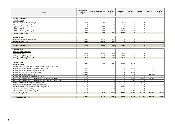| Project                                                                    | <b>Total Approved</b><br><b>Budget</b><br>£ | <b>Total Prior Years Payments</b><br>£ | 2017/18<br>£ | 2018/19<br>£   | 2019/20<br>£   | 2020/21<br>£   | 2021/22<br>£   | 2021/22<br>£ |
|----------------------------------------------------------------------------|---------------------------------------------|----------------------------------------|--------------|----------------|----------------|----------------|----------------|--------------|
|                                                                            |                                             |                                        |              |                |                |                |                |              |
| <b>CORPORATE SERVICES</b>                                                  |                                             |                                        |              |                |                |                |                |              |
| <b>Business Support</b>                                                    |                                             |                                        |              |                |                |                |                |              |
| NWOW - Electronic Document Mgt                                             | 38,000                                      | 33,500                                 | $\Omega$     | 4,500          | 0              | $\Omega$       | $\Omega$       | $\mathbf 0$  |
| EPH - Asset options appraisal                                              | 10,000                                      |                                        | 10,000       | $\overline{0}$ | 0              | $\overline{0}$ | $\mathbf 0$    | $\mathbf 0$  |
| Pay Policy - Comprehensive Review                                          | 50,000                                      | 8,000                                  | 42,000       | $\overline{0}$ | 0              | $\mathbf 0$    | $\overline{0}$ | $\mathbf 0$  |
| CRM Stage 2 Rollout                                                        | 54,400                                      | 37,600                                 | $\mathbf 0$  | 16,800         | $\overline{0}$ | $\overline{0}$ | $\mathbf 0$    | $\mathbf 0$  |
| CRM Stage 2 - Temp IT Analyst Post                                         | 40,000                                      | 10,900                                 | $\Omega$     | 29,100         | 0              | $\Omega$       | $\Omega$       | $\mathbf 0$  |
| <b>Business Support Total</b>                                              | 192,400                                     | 90,000                                 | 52,000       | 50,400         | $\mathbf{0}$   | $\Omega$       | $\mathbf{0}$   | $\mathbf{0}$ |
|                                                                            |                                             |                                        |              |                |                |                |                |              |
| <b>Financial Services</b>                                                  |                                             |                                        |              |                |                |                |                |              |
| Finance Management System (FMS)                                            | 231,100                                     | 228,400                                | 2,700        | $\overline{0}$ | 0              | $\Omega$       | $\mathbf 0$    | $\mathbf 0$  |
| <b>Financial Services Total</b>                                            | 231,100                                     | 228,400                                | 2,700        | $\Omega$       | $\mathbf{0}$   | <sup>n</sup>   | $\Omega$       | $\Omega$     |
|                                                                            |                                             |                                        |              |                |                |                |                |              |
| <b>CORPORATE SERVICES TOTAL</b>                                            | 423,500                                     | 318,400                                | 54,700       | 50,400         | 0              | $\mathbf{0}$   | $\mathbf{0}$   | $\mathbf{0}$ |
| <b>PLANNING SERVICES</b>                                                   |                                             |                                        |              |                |                |                |                |              |
| <b>Development Management</b>                                              |                                             |                                        |              |                |                |                |                |              |
| Development Plan                                                           | 1,031,900                                   | 853,400                                | 48,000       | 130,500        | $\mathbf 0$    | $\Omega$       | $\Omega$       | $\mathbf 0$  |
| <b>Masterplanning Strategic Sites</b>                                      | 100,000                                     | 21,700                                 | 64,300       | 14,000         | $\circ$        | $\Omega$       | $\overline{0}$ | $\mathbf 0$  |
| <b>Development Management Total</b>                                        | 1,131,900                                   | 875,100                                | 112,300      | 144,500        | $\mathbf{0}$   | $\Omega$       | $\mathbf{0}$   | $\Omega$     |
|                                                                            |                                             |                                        |              |                |                |                |                |              |
| <b>Planning Policy</b>                                                     |                                             |                                        |              |                |                |                |                |              |
| Local Plan Review                                                          | 735,000                                     | 19,300                                 | 215,700      | 250,000        | 250,000        | $\overline{0}$ | $\mathbf 0$    | $\mathbf{0}$ |
| Enhancements to Lavant Biodiversity Opportunity Area (project 194)         | 50,000                                      | $\Omega$                               | 10,000       | 40,000         | $\overline{0}$ | $\overline{0}$ | $\mathbf 0$    | $\mathbf 0$  |
| School access improvements - Chichester (project 657)                      | 50,000                                      |                                        | $\Omega$     | $\Omega$       | 50,000         | $\Omega$       |                | $\mathbf 0$  |
| School access improvements - Bourne (project 660)                          | 50,000                                      | $\Omega$                               | $\mathbf 0$  | $\overline{0}$ | $\Omega$       | $\Omega$       | 50,000         | $\mathbf 0$  |
| School places E-W Chichester (project 330)                                 | 1,200,000                                   | $\Omega$                               | $\mathbf 0$  | $\Omega$       | 1,200,000      | $\Omega$       |                | $\mathbf 0$  |
| School places Bourne's (project 331)                                       | 1,200,000                                   |                                        | $\mathbf 0$  | $\Omega$       | $\Omega$       | $\Omega$       | 1,200,000      | $\mathbf 0$  |
| School places Manhood Peninsula (project 332)                              | 1,200,000                                   | $\Omega$                               | $\mathbf 0$  | $\overline{0}$ | $\overline{0}$ | $\mathbf 0$    |                | 1,200,000    |
| Sustainable transport corridor - city centre to Portfield (project 656)    | 500,000                                     |                                        | $\mathbf 0$  | $\overline{0}$ | 25,000         | 50,000         | 425,000        | $\mathbf 0$  |
| Sustainable transport corridor - city centre to Westhampnett (project 353) | 500,000                                     | $\Omega$                               | $\mathbf 0$  | $\overline{0}$ | 500,000        | $\Omega$       | $\Omega$       | $\mathbf 0$  |
| Medical Centre West of Chichester (project 398)                            | 1,300,000                                   |                                        | $\mathbf 0$  | $\Omega$       | $\overline{0}$ | 1,300,000      | $\Omega$       | $\mathbf{0}$ |
| School access improvements - Manhood (project 659)                         | 50,000                                      |                                        | $\Omega$     | $\Omega$       | $\Omega$       |                | $\Omega$       | 50,000       |
| Local land drainage East Beach Sea Outfall (project 293)                   | 100,000                                     |                                        | $\Omega$     | 100,000        | $\overline{0}$ | $\Omega$       | $\Omega$       | $\mathbf{0}$ |
| Brandy Hole Copse (project 196)                                            | 10,000                                      |                                        | 10,000       | $\Omega$       | $\overline{0}$ |                |                | $\mathbf{0}$ |
| RTPI screens at Chichester City Project 355                                | 120,000                                     |                                        | $\Omega$     | $\overline{0}$ | 60,000         | 60,000         | $\Omega$       | $\mathbf{0}$ |
| <b>Planning Policy Total</b>                                               | 7,065,000                                   | 19,300                                 | 235,700      | 390,000        | 2,085,000      | 1,410,000      | 1,675,000      | 1,250,000    |
|                                                                            |                                             |                                        |              |                |                |                |                |              |
| <b>PLANNING SERVICES TOTAL</b>                                             | 8,196,900                                   | 894,400                                | 348,000      | 534,500        | 2,085,000      | 1,410,000      | 1,675,000      | 1,250,000    |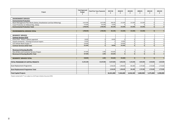| Project                                                              | <b>Total Approved</b><br><b>Budget</b><br>£ | <b>Total Prior Years Payments</b> | 2017/18<br>f | 2018/19<br>f   | 2019/20<br>f   | 2020/21<br>f | 2021/22<br>f | 2021/22<br>£ |
|----------------------------------------------------------------------|---------------------------------------------|-----------------------------------|--------------|----------------|----------------|--------------|--------------|--------------|
| <b>ENVIRONMENT SERVICES</b>                                          |                                             |                                   |              |                |                |              |              |              |
| <b>Environmental Protection</b>                                      |                                             |                                   |              |                |                |              |              |              |
| Beach Management Plan Works (Selsey, Bracklesham and East Wittering) | 2,613,500                                   | 1,627,900                         | 348,100      | 212,500        | 212,500        | 212,500      | $\Omega$     | $\mathbf{0}$ |
| Coast Protection at Lifeboat Way, Selsey                             | 175,000                                     | 161,600                           | 13,400       | $\Omega$       | $\Omega$       |              | $\Omega$     | $\mathbf 0$  |
| <b>Environmental Protection Total</b>                                | 2,788,500                                   | 1,789,500                         | 361,500      | 212,500        | 212,500        | 212,500      | $\Omega$     | $\Omega$     |
|                                                                      |                                             |                                   |              |                |                |              |              |              |
| <b>ENVIRONMENTAL SERVICES TOTAL</b>                                  | 2,788,500                                   | 1,789,500                         | 361,500      | 212,500        | 212,500        | 212,500      | 0            | $\Omega$     |
|                                                                      |                                             |                                   |              |                |                |              |              |              |
| <b>RESIDENTS' SERVICES</b>                                           |                                             |                                   |              |                |                |              |              |              |
| <b>Contract Services (CCS)</b>                                       |                                             |                                   |              |                |                |              |              |              |
| Priory Park - Phase 1 options appraisal                              | 30,000                                      |                                   | 30,000       | $\Omega$       | $\overline{0}$ | $\Omega$     | $\Omega$     | $\mathbf{0}$ |
| Closed cemeteries - Essential structural repairs                     | 65,000                                      |                                   |              | 65,000         | $\overline{0}$ |              |              | $\mathbf{0}$ |
| CCS Vehicle Wash Project **                                          | 126,000                                     |                                   |              | 126,000        | $\Omega$       |              | $\Omega$     | $\mathbf{0}$ |
| <b>Contract Services (CCS) Total</b>                                 | 221,000                                     |                                   | 30,000       | 191,000        | $\Omega$       |              | $\Omega$     | $\Omega$     |
|                                                                      |                                             |                                   |              |                |                |              |              |              |
| <b>Revenues &amp; Housing Benefits</b>                               |                                             |                                   |              |                |                |              |              |              |
| Revs & Bens and Customer Services Project                            | 327,000                                     | 1,400                             | 325,600      | $\overline{0}$ | 0              | $\Omega$     | $\mathbf 0$  | $\mathbf 0$  |
| <b>Revenues &amp; Housing Benefits Total</b>                         | 327,000                                     | 1,400                             | 325,600      | $\Omega$       | $\Omega$       | <sup>n</sup> | $\Omega$     | $\Omega$     |
|                                                                      |                                             |                                   |              |                |                |              |              |              |
| <b>RESIDENTS' SERVICES TOTAL</b>                                     | 548,000                                     | 1,400                             | 355,600      | 191,000        | 0              | $\Omega$     | 0            | $\mathbf{0}$ |
|                                                                      | 61,491,200                                  | 24,187,000                        | 15,872,800   | 6,046,200      | 5,156,300      | 4,053,900    | 3,550,000    | 2,625,000    |
| <b>TOTAL PROGRAME OF CAPITAL PROJECTS</b>                            |                                             |                                   |              |                |                |              |              |              |
| Asset Replacement Programme                                          |                                             |                                   | 2,558,200    | 1,398,400      | 861,800        | 1,747,000    | 1,725,000    | 1,773,000    |
|                                                                      |                                             |                                   |              |                |                |              |              |              |
| Asset Replacement Programme Total                                    |                                             |                                   | 2,558,200    | 1,398,400      | 861,800        | 1,747,000    | 1,725,000    | 1,773,000    |
|                                                                      |                                             |                                   |              |                |                |              |              |              |
| <b>Total Capital Projects</b>                                        |                                             |                                   | 18,431,000   | 7,444,600      | 6,018,100      | 5,800,900    | 5,275,000    | 4,398,000    |

Projects marked with (\*\*) are subject to a full Project Initiation Document (PID)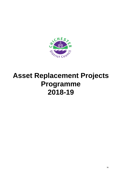<span id="page-37-0"></span>

## **Asset Replacement Projects Programme 2018-19**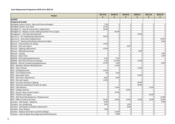| <b>Project</b>                                               | 2017/18<br>£ | 2018/19<br>£         | 2019/20<br>£ | 2020/21<br>£         | 2021/22<br>£ | 2022/23<br>£   |
|--------------------------------------------------------------|--------------|----------------------|--------------|----------------------|--------------|----------------|
| <b>LEADER</b>                                                |              |                      |              |                      |              |                |
| <b>Property &amp; Growth</b>                                 |              |                      |              |                      |              |                |
| Westgate Leisure Centre - New pool heat exchangers           | 7,500        | $\Omega$             | $\Omega$     | $\Omega$             | $\Omega$     | $\overline{0}$ |
| Westgate Carbon Trust 2014                                   | 24,300       | $\Omega$<br>$\Omega$ |              | $\Omega$<br>$\Omega$ |              | $\overline{0}$ |
| Westgate LC - Auto & manual door replacement                 | 30,000       | $\Omega$             | $\Omega$     | $\Omega$<br>$\Omega$ |              | $\overline{0}$ |
| Westgate LC - Replace curtain walling (Southern fire escape) | $\Omega$     | 40,000               | $\Omega$     | $\Omega$             | $\Omega$     | $\overline{0}$ |
| Westgate LC - Pool hall refurbishment                        | $\Omega$     | $\Omega$             | $\Omega$     | 50,000               | $\Omega$     | $\overline{0}$ |
| Bourne LC - Air conditioning replacement                     | 20,000       | $\Omega$             | $\Omega$     | $\Omega$             | $\Omega$     | $\overline{0}$ |
| Bourne LC - Auto Doors Replacement                           |              | $\Omega$             | $\Omega$     | $\Omega$             | $\Omega$     | 16,000         |
| Bourne LC - Electrical Distribution Boards & Cables          | $\Omega$     | $\Omega$             | $\Omega$     | $\Omega$             | $\Omega$     | 8,000          |
| Novium - Internal floors & ceilings                          | 13,000       | 0                    | O            | $\Omega$             | $\Omega$     | $\overline{0}$ |
| Novium - Flat roof repairs                                   | $\Omega$     | $\mathbf{0}$         | 8,000        | $\Omega$             | $\Omega$     | $\overline{0}$ |
| Novium - Lighting replacement                                | 20,000       | $\Omega$             | $\Omega$     | $\Omega$             | $\Omega$     | $\overline{0}$ |
| Novium - Mechanical pumps                                    | <sup>0</sup> | $\Omega$             | $\Omega$     | 6,000                | $\Omega$     | $\overline{0}$ |
| Novium - Carpets                                             | $\Omega$     | $\Omega$             | $\Omega$     | $\Omega$             | $\Omega$     | 3,000          |
| Novium - Resin Floor                                         | $\Omega$     | $\Omega$             | $\Omega$     | $\Omega$             | $\Omega$     | 3,000          |
| NWOW - EPH Lighting Replacement                              | 4,300        | 3,700                | 0            | $\Omega$             | $\mathbf 0$  | $\overline{0}$ |
| NWOW - EPH Internal Floors & Ceilings                        | 1,400        | 137,900              | $\Omega$     | 10,000               | $\Omega$     | $\Omega$       |
| NWOW - EPH Air Conditioning Replacement                      | 26,700       | 4,500                | $\Omega$     | $\Omega$             | $\Omega$     | 8,000          |
| EPH - Members Kitchen Refurbishment                          | $\Omega$     | 12,000               | $\Omega$     | $\Omega$             | $\Omega$     | $\Omega$       |
| <b>EPH - Floor Finishes</b>                                  | $\Omega$     | $\Omega$             | $\Omega$     | 10,000               | $\Omega$     | $\overline{0}$ |
| EPH - Lift Replacement                                       | 35,000       | $\Omega$             | $\Omega$     | $\Omega$             | $\Omega$     | $\overline{0}$ |
| EPH - CCTV Replacement                                       | 700          | 9,300                | $\Omega$     | $\Omega$             | $\Omega$     | $\overline{0}$ |
| EPH - New boiler plant                                       | $\Omega$     | 0                    | $\Omega$     | 50,000               | $\Omega$     | $\overline{0}$ |
| EPH - Auto door replacement                                  | 8,000        | 8,000                | $\Omega$     | $\Omega$             | $\Omega$     | $\overline{0}$ |
| EPH - Flat roof repairs                                      | 10,000       | $\Omega$             | $\Omega$     | $\Omega$             | $\Omega$     | $\mathbf 0$    |
| EPH - Fire alarm & electric lighting                         | $\Omega$     | $\Omega$             | $\Omega$     | 60,000               | $\Omega$     | $\overline{0}$ |
| EPH - Electricity distribution boards & cables               | $\Omega$     | $\Omega$             | $\Omega$     | 40,000               | $\Omega$     | $\overline{0}$ |
| <b>EPH - UPS batteries</b>                                   | $\Omega$     | 12,000               | 0            | $\Omega$             | 12,000       | $\overline{0}$ |
| EPH - Folding machine                                        | $\mathbf 0$  | $\Omega$             | 10,000       | $\Omega$             | $\Omega$     | $\overline{0}$ |
| EPH - Access / door control system                           | $\Omega$     | 35,000               | $\Omega$     | $\Omega$             |              | $\overline{0}$ |
| EPH - Pitched roof repairs                                   | $\Omega$     | $\Omega$             | $\Omega$     | $\Omega$             | 20,000       | $\overline{0}$ |
| EPH - AHU Plant Refurbishment / Replacement                  | $\Omega$     | $\Omega$             | $\Omega$     | $\Omega$             | $\Omega$     | 15,000         |
| EPH - Office Furniture & Chairs                              | 10,700       | 10,000               | 10,000       | 10,000               | 10,000       | 10,000         |
| Careline - UPS System - Batteries                            | 6,000        | 0                    |              | 0                    | 0            | 6,000          |
| Careline - Air conditioning                                  | 6,000        | $\Omega$             | 5,000        | $\Omega$             | $\Omega$     | $\overline{0}$ |
| Careline - UPS System Complete replacement                   |              | $\Omega$             | 8,000        | $\Omega$             | $\Omega$     | $\overline{0}$ |
| Careline - Floor finishes                                    | 5,000        | $\Omega$             |              | $\Omega$             | $\Omega$     | $\overline{0}$ |
| Careline - Replace Generator (outside building)              | $\Omega$     | 23,000               | $\Omega$     | $\Omega$             | $\Omega$     | $\overline{0}$ |
| Careline - Internal Space Reconfiguration/Refurbishment      | $\Omega$     | 8,000                | $\Omega$     | $\Omega$             | $\Omega$     | $\overline{0}$ |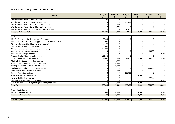| Project                                                            | 2017/18   | 2018/19     | 2019/20<br>£ | 2020/21<br>£   | 2021/22<br>£ | 2022/23<br>£   |
|--------------------------------------------------------------------|-----------|-------------|--------------|----------------|--------------|----------------|
| Westhampnett Depot - Refurbishment                                 | 190,200   | $\Omega$    | $\Omega$     | $\overline{0}$ | $\Omega$     | $\overline{0}$ |
| Westhampnett Depot - General Resurfacing                           | U         | $\Omega$    | 200,000      | $\Omega$       | $\Omega$     | $\overline{0}$ |
| Westhampnett Depot - Replace standby generator                     | $\Omega$  | 32,000      | $\Omega$     | $\Omega$       | $\Omega$     | $\overline{0}$ |
| Westhampnett Depot - Central Service Bays doors                    | $\Omega$  | 13,000      |              | $\Omega$       | O            | $\overline{0}$ |
| Westhampnett Depot - Workshop fire separating wall                 | $\Omega$  | $\Omega$    | 10,000       | $\Omega$       | $\Omega$     | $\overline{0}$ |
| <b>Property &amp; Growth Total</b>                                 | 418,800   | 348,400     | 251,000      | 236,000        | 42,000       | 69,000         |
|                                                                    |           |             |              |                |              |                |
| <b>Place</b>                                                       |           |             |              |                |              |                |
| ADC Car Park Years 1 & 2 - Structural Replacement                  | 80,000    | $\mathbf 0$ | $\Omega$     | $\overline{0}$ | $\Omega$     | $\overline{0}$ |
| ADC Car Park Year 3 - Essential Upgrade Vehicle Perimeter Barriers | 100,000   | $\mathbf 0$ | $\Omega$     | $\Omega$       | $\Omega$     | $\overline{0}$ |
| ADC Refurbishment (incl Towers refurbishment)                      | 257,700   | $\Omega$    | $\Omega$     | $\Omega$       | $\Omega$     | $\overline{0}$ |
| ADC Car Park - Lighting replacement                                | 160,000   | $\mathbf 0$ | $\Omega$     | $\Omega$       | $\Omega$     | $\overline{0}$ |
| ADC Car Park Year 3 - Upgrade Pedestrian Railings                  | 150,000   | $\Omega$    | $\Omega$     | $\Omega$       | O            | $\overline{0}$ |
| ADC Car Park - Pump replacement                                    | O         | $\Omega$    | $\Omega$     | $\Omega$       | 10,000       | $\Omega$       |
| ADC Car Park - Bridge Repairs                                      | $\Omega$  | $\Omega$    | $\Omega$     | $\Omega$       | $\Omega$     | 5,000          |
| Pay and Display Machine replacement                                | 110.100   | $\Omega$    | $\Omega$     | $\Omega$       | U            | $\Omega$       |
| <b>CCTV - Camera Replacement Costs</b>                             | 25,000    | 25,000      | 25,000       | 25,000         | 25,000       | 25,000         |
| Marine Drive Selsey Public Convenience                             | $\Omega$  | 12,000      | $\Omega$     | $\Omega$       | U            | $\overline{0}$ |
| Tower Street Chichester Public Convenience                         | $\Omega$  | 80,000      | U            | $\Omega$       | U            | $\overline{0}$ |
| Northgate Chichester Public Convenience                            | $\Omega$  | 120,000     | $\Omega$     | $\Omega$       |              | $\overline{0}$ |
| Market Road Chichester Public Convenience                          | $\Omega$  | $\Omega$    | $\Omega$     | $\Omega$       | 150,000      | $\overline{0}$ |
| Bracklesham Bay Public Convenience                                 | 0         | 325,000     | 0            | $\Omega$       |              | $\overline{0}$ |
| Bosham Public Convenience                                          | $\Omega$  | 0           | 120,000      | $\Omega$       | 0            | $\overline{0}$ |
| Priory Park Public Convenience                                     | $\Omega$  | $\Omega$    | 0            | 150,000        | <sup>0</sup> | $\overline{0}$ |
| Itchenor Public Convenience                                        | $\Omega$  | $\Omega$    | $\Omega$     | $\Omega$       | 20,000       | $\overline{0}$ |
| East Beach Selsey Public Convenience                               | $\Omega$  | $\Omega$    | $\Omega$     | $\Omega$       | $\Omega$     | 150,000        |
| Public conveniences - Wallgate Replacement programme               | $\Omega$  | 25,000      | $\Omega$     | 30,000         | $\Omega$     | $\Omega$       |
| <b>Place Total</b>                                                 | 882,800   | 587,000     | 145,000      | 205,000        | 205,000      | 180,000        |
| <b>Promotion &amp; Events</b>                                      |           |             |              |                |              |                |
| <b>Farmers Market Canopies</b>                                     | 400       | 10,000      | $\mathbf 0$  | 10,000         | $\Omega$     | 10,000         |
| <b>Promotion &amp; Events Total</b>                                | 400       | 10,000      | $\Omega$     | 10,000         | $\Omega$     | 10,000         |
| <b>LEADER TOTAL</b>                                                | 1,302,000 | 945,400     | 396,000      | 451,000        | 247,000      | 259,000        |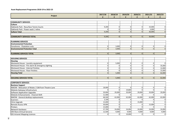| Project                                             | 2017/18<br>£ | 2018/19<br>£ | 2019/20<br>£   | 2020/21<br>£   | 2021/22<br>£   | 2022/23<br>£   |
|-----------------------------------------------------|--------------|--------------|----------------|----------------|----------------|----------------|
|                                                     |              |              |                |                |                |                |
| <b>COMMUNITY SERVICES</b>                           |              |              |                |                |                |                |
| <b>Culture</b>                                      |              |              |                |                |                |                |
| Oaklands Park - Resurface Tennis Courts             | 9,200        | $\mathbf 0$  | $\Omega$       | $\overline{0}$ | 33,000         | $\overline{0}$ |
| Oaklands Park - Power wash / reline                 | $\Omega$     | $\Omega$     | $\Omega$       | $\Omega$       | 3,000          | $\overline{0}$ |
| <b>Culture Total</b>                                | 9,200        | $\Omega$     | $\Omega$       | $\Omega$       | 36,000         | $\overline{0}$ |
| <b>COMMUNITY SERVICES TOTAL</b>                     | 9,200        | 0            | 0              | 0              | 36,000         | $\overline{0}$ |
|                                                     |              |              |                |                |                |                |
| <b>PLANNING SERVICES</b>                            |              |              |                |                |                |                |
| <b>Environmental Protection</b>                     |              |              |                |                |                |                |
| Foreshores - Floatation suits                       | $\mathbf 0$  | 3,000        | $\overline{0}$ | $\mathbf{0}$   | $\overline{0}$ | $\overline{0}$ |
| <b>Environmental Protection Total</b>               | $\Omega$     | 3,000        | $\Omega$       | $\Omega$       | $\Omega$       | $\overline{0}$ |
| <b>PLANNING SERVICES TOTAL</b>                      | $\Omega$     | 3,000        | $\Omega$       | $\Omega$       | $\Omega$       | $\overline{0}$ |
|                                                     |              |              |                |                |                |                |
| <b>HOUSING SERVICES</b>                             |              |              |                |                |                |                |
| <b>Housing</b>                                      |              |              |                |                |                |                |
| Westward House - Laundry equipment                  | $\Omega$     | 5,000        | $\Omega$       | $\Omega$       | $\Omega$       | $\Omega$       |
| Westward House - Fire alarm & emergency lighting    | $\Omega$     | $\Omega$     | $\Omega$       | $\Omega$       | $\Omega$       | 35,000         |
| Westward House - Internal Finishes                  | $\Omega$     | $\Omega$     | $\Omega$       | $\mathbf 0$    | $\mathbf{0}$   | 12,000         |
| Westward House - Floor Finishes                     | $\mathbf 0$  | $\Omega$     | $\mathbf 0$    | $\mathbf 0$    | 0              | 15,000         |
| <b>Housing Total</b>                                | $\Omega$     | 5,000        | $\Omega$       | $\Omega$       | $\overline{0}$ | 62,000         |
| <b>HOUSING SERVICES TOTAL</b>                       | 0            | 5,000        | 0              | 0              | 0              | 62,000         |
|                                                     |              |              |                |                |                |                |
| <b>CORPORATE SERVICES</b>                           |              |              |                |                |                |                |
| <b>Business Support</b>                             |              |              |                |                |                |                |
| NWOW - Relocation of Relate / CAB from Theatre Lane | 18,900       | $\mathbf{0}$ | $\Omega$       | $\mathbf 0$    | $\Omega$       | $\overline{0}$ |
| Website Gateway Infrastructure                      | $\Omega$     | $\Omega$     | 19,800         | $\Omega$       | $\Omega$       | $\overline{0}$ |
| <b>Software Application Upgrades</b>                | 20,000       | 20,000       | 20,000         | 20,000         | 20,000         | 20,000         |
| Website Enhancements - Channel Shift                | 11,400       | $\Omega$     | $\Omega$       | $\Omega$       | $\Omega$       | $\Omega$       |
| NWOW - General desktop replacements                 | 68,500       | 62,000       | 62,000         | 62,000         | 62,000         | 62,000         |
| <b>Scanners</b>                                     | 2,100        | $\mathbf 0$  | $\Omega$       | $\Omega$       | $\Omega$       | $\overline{0}$ |
| Citrix Upgrade                                      | 15,000       | $\mathbf 0$  | $\mathbf 0$    | 15,000         | $\Omega$       | $\overline{0}$ |
| <b>Remote Access VPN</b>                            | 30,000       | $\Omega$     | $\Omega$       | $\Omega$       | 15,000         | $\overline{0}$ |
| Printers                                            | 15,000       | $\Omega$     | $\Omega$       | $\Omega$       | $\Omega$       | $\overline{0}$ |
| Network Hardware                                    | 37,700       | 24,000       | 24,000         | 24,000         | 24,000         | 24,000         |
| VM Ware (Virtual Servers)                           | 12,500       | 9,000        | 9,000          | 9,000          | 9,000          | 9,000          |
| <b>GIS Intranet Mapping Licences</b>                | $\Omega$     | $\Omega$     | 10,000         | $\Omega$       | $\Omega$       | $\overline{0}$ |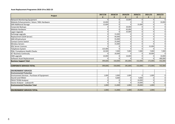| <b>Project</b>                               | 2017/18<br>£ | 2018/19<br>£   | 2019/20 | 2020/21<br>£ | 2021/22<br>£ | 2022/23<br>£   |
|----------------------------------------------|--------------|----------------|---------|--------------|--------------|----------------|
| Network Monitoring Equipment                 | n            | $\overline{0}$ | 10,000  | $\Omega$     | $\Omega$     | $\overline{0}$ |
| Website Enhancements / Astun / NDL Hardware  | 10,000       | 0              |         |              |              | 10,000         |
| <b>SAN Additional Storage</b>                | 12,600       | $\Omega$       |         | 15,000       | U            | $\overline{0}$ |
| Corporate Backups                            |              | $\Omega$       | 20,000  |              | O            | $\overline{0}$ |
| <b>Website Hardware</b>                      | n            | 0              | 65,000  |              | n            | $\overline{0}$ |
| Lagan Upgrade                                | n            | O              | 25,000  |              |              | $\overline{0}$ |
| Exchange upgrade                             |              | 15,000         |         |              |              | $\overline{0}$ |
| Replacement (SUN Server)                     | O            | 66,000         |         | $\Omega$     | U            | $\overline{0}$ |
| <b>SAN Infrastructure</b>                    |              | 55,000         |         |              |              | $\overline{0}$ |
| <b>Contact Centre Switch</b>                 |              | 25,000         |         | O            | O            | $\overline{0}$ |
| <b>Wireless Servers</b>                      |              | 15,000         |         | 0            |              | $\overline{0}$ |
| <b>SQL Server Licences</b>                   |              |                |         |              | 15,000       | $\overline{0}$ |
| Telephone System                             | 125,400      | $\Omega$       |         |              |              | $\overline{0}$ |
| PSN / Compliance Health Checks               | 10,500       | 7,000          | 7,000   | 7,000        | 7,000        | 7,000          |
| <b>ICT Business Continuity</b>               |              | 20,000         |         | O            | 20,000       | $\overline{0}$ |
| CMS upgrade                                  | 10,000       | 0              | 10,000  |              |              | 10,000         |
| Software Asset Replacement                   |              |                |         |              |              | 400,000        |
| <b>Business Support Total</b>                | 399,600      | 318,000        | 281,800 | 152,000      | 172,000      | 542,000        |
| <b>CORPORATE SERVICES TOTAL</b>              | 399,600      | 318,000        | 281,800 | 152,000      | 172,000      | 542,000        |
| <b>ENVIRONMENT SERVICES</b>                  |              |                |         |              |              |                |
| <b>Environmental Protection</b>              |              |                |         |              |              |                |
| Environment Services - Purchase of Equipment | 1,000        | 2,000          | 1,000   | O            | 1,000        | $\overline{0}$ |
| Sound Level Meter                            |              | 9,000          |         | 9,000        |              | $\overline{0}$ |
| PM10 TEOM Analyser                           | n            | $\Omega$       |         | 10,000       | n            | $\overline{0}$ |
| Ozone Analyser - Lodsworth                   |              |                |         | 10,000       |              | $\overline{0}$ |
| <b>Environmental Protection Total</b>        | 1,000        | 11,000         | 1,000   | 29,000       | 1,000        | $\overline{0}$ |
|                                              |              |                |         |              |              |                |
| <b>ENVIRONMENT SERVICES TOTAL</b>            | 1,000        | 11,000         | 1,000   | 29,000       | 1,000        | $\overline{0}$ |